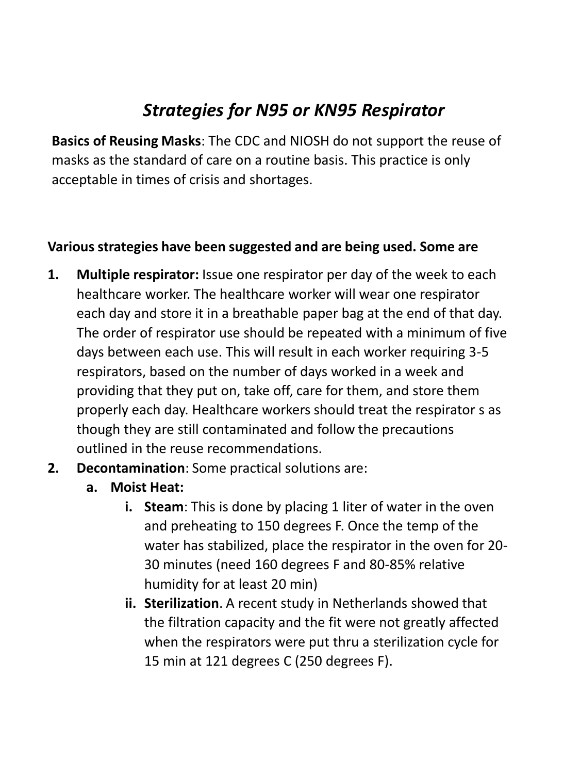## *Strategies for N95 or KN95 Respirator*

**Basics of Reusing Masks**: The CDC and NIOSH do not support the reuse of masks as the standard of care on a routine basis. This practice is only acceptable in times of crisis and shortages.

## **Various strategies have been suggested and are being used. Some are**

- **1. Multiple respirator:** Issue one respirator per day of the week to each healthcare worker. The healthcare worker will wear one respirator each day and store it in a breathable paper bag at the end of that day. The order of respirator use should be repeated with a minimum of five days between each use. This will result in each worker requiring 3-5 respirators, based on the number of days worked in a week and providing that they put on, take off, care for them, and store them properly each day. Healthcare workers should treat the respirator s as though they are still contaminated and follow the precautions outlined in the reuse recommendations.
- **2. Decontamination**: Some practical solutions are:
	- **a. Moist Heat:** 
		- **i. Steam**: This is done by placing 1 liter of water in the oven and preheating to 150 degrees F. Once the temp of the water has stabilized, place the respirator in the oven for 20- 30 minutes (need 160 degrees F and 80-85% relative humidity for at least 20 min)
		- **ii. Sterilization**. A recent study in Netherlands showed that the filtration capacity and the fit were not greatly affected when the respirators were put thru a sterilization cycle for 15 min at 121 degrees C (250 degrees F).